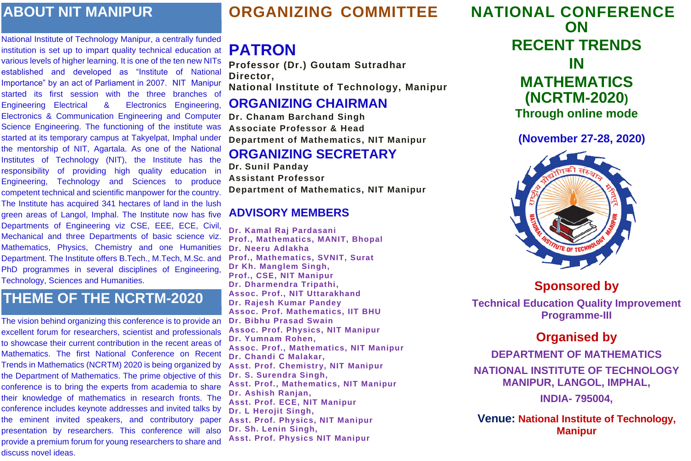# **ORGANIZING COMMITTEE**

# **PATRON**

**Professor (Dr.) Goutam Sutradhar Director, National Institute of Technology, Manipur ORGANIZING CHAIRMAN Dr. Chanam Barchand Singh**

**Associate Professor & Head Department of Mathematics, NIT Manipur ORGANIZING SECRETARY Dr. Sunil Panday Assistant Professor**

**Department of Mathematics, NIT Manipur**

### **ADVISORY MEMBERS**

**Dr. Kamal Raj Pardasani Prof., Mathematics, MANIT, Bhopal Dr. Neeru Adlakha Prof., Mathematics, SVNIT, Surat Dr Kh. Manglem Singh, Prof., CSE, NIT Manipur Dr. Dharmendra Tripathi, Assoc. Prof., NIT Uttarakhand Dr. Rajesh Kumar Pandey Assoc. Prof. Mathematics, IIT BHU Dr. Bibhu Prasad Swain Assoc. Prof. Physics, NIT Manipur Dr. Yumnam Rohen, Assoc. Prof., Mathematics, NIT Manipur Dr. Chandi C Malakar, Asst. Prof. Chemistry, NIT Manipur Dr. S. Surendra Singh, Asst. Prof., Mathematics, NIT Manipur Dr. Ashish Ranjan, Asst. Prof. ECE, NIT Manipur Dr. L Herojit Singh, Asst. Prof. Physics, NIT Manipur Dr. Sh. Lenin Singh, Asst. Prof. Physics NIT Manipur**



**NATIONAL CONFERENCE ON RECENT TRENDS IN MATHEMATICS (NCRTM-2020) Through online mode**

**(November 27-28, 2020)**



**Sponsored by** 

**Technical Education Quality Improvement Programme-III**

## **Organised by**

**DEPARTMENT OF MATHEMATICS**

**NATIONAL INSTITUTE OF TECHNOLOGY MANIPUR, LANGOL, IMPHAL,**

**INDIA- 795004,**

**Venue: National Institute of Technology, Manipur**

# **ABOUT NIT MANIPUR**

National Institute of Technology Manipur, a centrally funded institution is set up to impart quality technical education at various levels of higher learning. It is one of the ten new NITs established and developed as "Institute of National Importance" by an act of Parliament in 2007. NIT Manipur started its first session with the three branches of Engineering Electrical & Electronics Engineering, Electronics & Communication Engineering and Computer Science Engineering. The functioning of the institute was started at its temporary campus at Takyelpat, Imphal under the mentorship of NIT, Agartala. As one of the National Institutes of Technology (NIT), the Institute has the responsibility of providing high quality education in Engineering, Technology and Sciences to produce competent technical and scientific manpower for the country. The Institute has acquired 341 hectares of land in the lush green areas of Langol, Imphal. The Institute now has five Departments of Engineering viz CSE, EEE, ECE, Civil, Mechanical and three Departments of basic science viz. Mathematics, Physics, Chemistry and one Humanities Department. The Institute offers B.Tech., M.Tech, M.Sc. and PhD programmes in several disciplines of Engineering, Technology, Sciences and Humanities.

# **THEME OF THE NCRTM-2020**

The vision behind organizing this conference is to provide an excellent forum for researchers, scientist and professionals to showcase their current contribution in the recent areas of Mathematics. The first National Conference on Recent Trends in Mathematics (NCRTM) 2020 is being organized by the Department of Mathematics. The prime objective of this conference is to bring the experts from academia to share their knowledge of mathematics in research fronts. The conference includes keynote addresses and invited talks by the eminent invited speakers, and contributory paper presentation by researchers. This conference will also provide a premium forum for young researchers to share and discuss novel ideas.